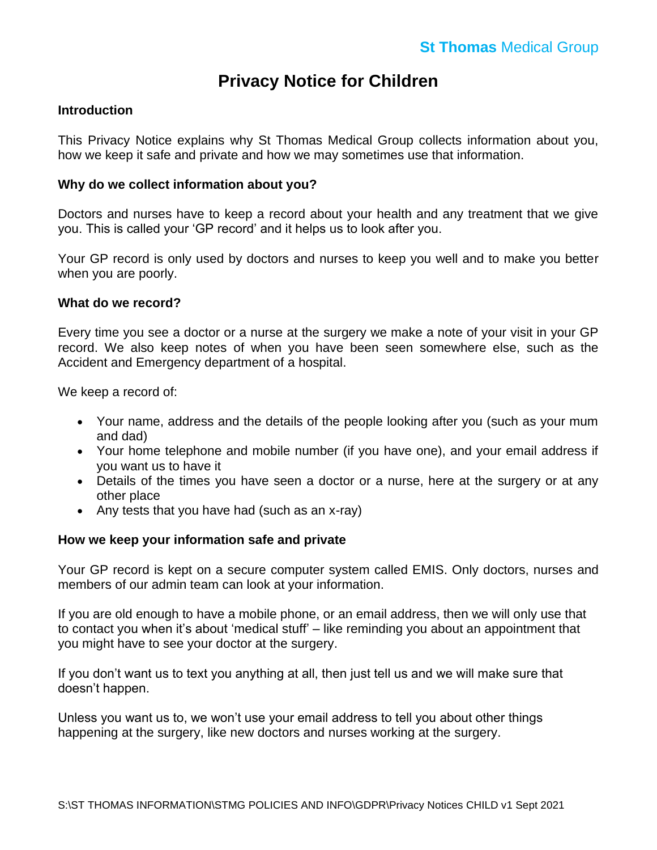# **Privacy Notice for Children**

## **Introduction**

This Privacy Notice explains why St Thomas Medical Group collects information about you, how we keep it safe and private and how we may sometimes use that information.

### **Why do we collect information about you?**

Doctors and nurses have to keep a record about your health and any treatment that we give you. This is called your 'GP record' and it helps us to look after you.

Your GP record is only used by doctors and nurses to keep you well and to make you better when you are poorly.

#### **What do we record?**

Every time you see a doctor or a nurse at the surgery we make a note of your visit in your GP record. We also keep notes of when you have been seen somewhere else, such as the Accident and Emergency department of a hospital.

We keep a record of:

- Your name, address and the details of the people looking after you (such as your mum and dad)
- Your home telephone and mobile number (if you have one), and your email address if you want us to have it
- Details of the times you have seen a doctor or a nurse, here at the surgery or at any other place
- Any tests that you have had (such as an x-ray)

## **How we keep your information safe and private**

Your GP record is kept on a secure computer system called EMIS. Only doctors, nurses and members of our admin team can look at your information.

If you are old enough to have a mobile phone, or an email address, then we will only use that to contact you when it's about 'medical stuff' – like reminding you about an appointment that you might have to see your doctor at the surgery.

If you don't want us to text you anything at all, then just tell us and we will make sure that doesn't happen.

Unless you want us to, we won't use your email address to tell you about other things happening at the surgery, like new doctors and nurses working at the surgery.